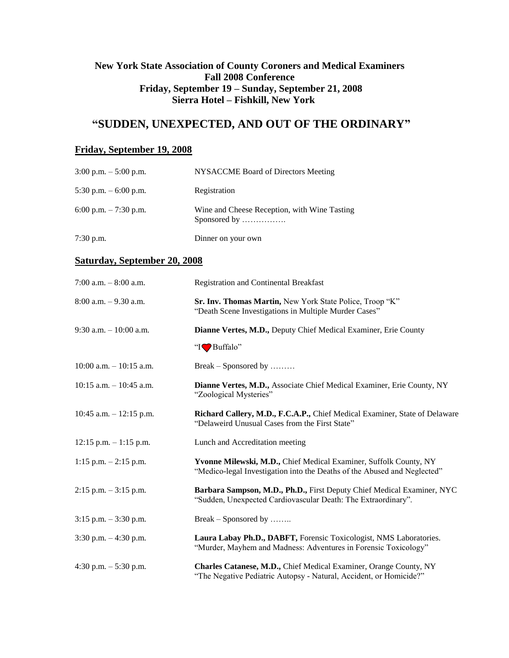### **New York State Association of County Coroners and Medical Examiners Fall 2008 Conference Friday, September 19 – Sunday, September 21, 2008 Sierra Hotel – Fishkill, New York**

## **"SUDDEN, UNEXPECTED, AND OUT OF THE ORDINARY"**

#### **Friday, September 19, 2008**

| $3:00$ p.m. $-5:00$ p.m. | NYSACCME Board of Directors Meeting                          |
|--------------------------|--------------------------------------------------------------|
| 5:30 p.m. $-6:00$ p.m.   | Registration                                                 |
| 6:00 p.m. $-7:30$ p.m.   | Wine and Cheese Reception, with Wine Tasting<br>Sponsored by |
| $7:30$ p.m.              | Dinner on your own                                           |

#### **Saturday, September 20, 2008**

| 7:00 a.m. $-8:00$ a.m.     | <b>Registration and Continental Breakfast</b>                                                                                                 |
|----------------------------|-----------------------------------------------------------------------------------------------------------------------------------------------|
| $8:00$ a.m. $-9.30$ a.m.   | Sr. Inv. Thomas Martin, New York State Police, Troop "K"<br>"Death Scene Investigations in Multiple Murder Cases"                             |
| 9:30 a.m. $-10:00$ a.m.    | Dianne Vertes, M.D., Deputy Chief Medical Examiner, Erie County                                                                               |
|                            | "IV Buffalo"                                                                                                                                  |
| $10:00$ a.m. $-10:15$ a.m. | Break – Sponsored by                                                                                                                          |
| $10:15$ a.m. $-10:45$ a.m. | Dianne Vertes, M.D., Associate Chief Medical Examiner, Erie County, NY<br>"Zoological Mysteries"                                              |
| 10:45 a.m. $-12:15$ p.m.   | Richard Callery, M.D., F.C.A.P., Chief Medical Examiner, State of Delaware<br>"Delaweird Unusual Cases from the First State"                  |
| $12:15$ p.m. $-1:15$ p.m.  | Lunch and Accreditation meeting                                                                                                               |
| 1:15 p.m. $-2:15$ p.m.     | Yvonne Milewski, M.D., Chief Medical Examiner, Suffolk County, NY<br>"Medico-legal Investigation into the Deaths of the Abused and Neglected" |
| $2:15$ p.m. $-3:15$ p.m.   | Barbara Sampson, M.D., Ph.D., First Deputy Chief Medical Examiner, NYC<br>"Sudden, Unexpected Cardiovascular Death: The Extraordinary".       |
| $3:15$ p.m. $-3:30$ p.m.   | Break – Sponsored by                                                                                                                          |
| $3:30$ p.m. $-4:30$ p.m.   | Laura Labay Ph.D., DABFT, Forensic Toxicologist, NMS Laboratories.<br>"Murder, Mayhem and Madness: Adventures in Forensic Toxicology"         |
| 4:30 p.m. $-$ 5:30 p.m.    | Charles Catanese, M.D., Chief Medical Examiner, Orange County, NY<br>"The Negative Pediatric Autopsy - Natural, Accident, or Homicide?"       |